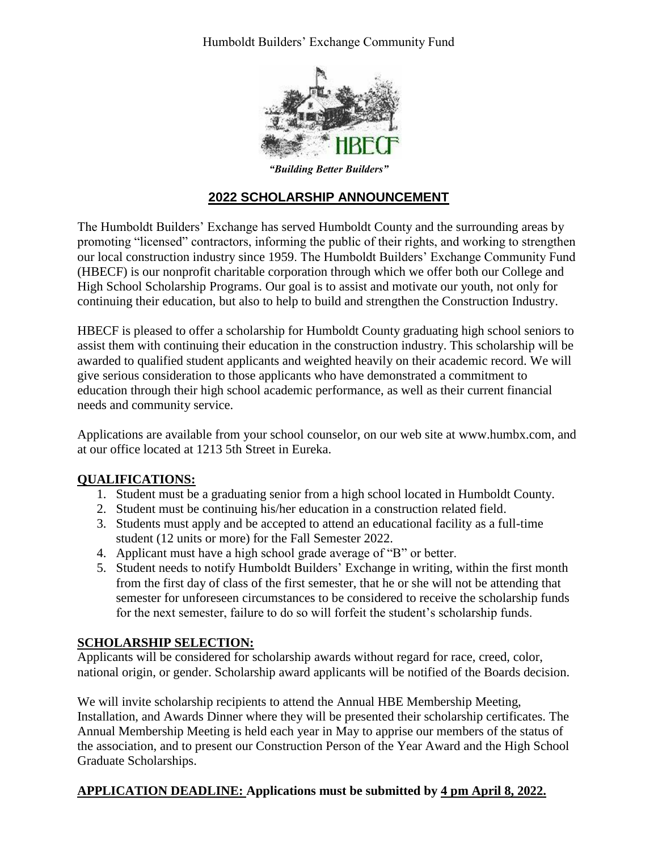Humboldt Builders' Exchange Community Fund



*"Building Better Builders"*

# **2022 SCHOLARSHIP ANNOUNCEMENT**

The Humboldt Builders' Exchange has served Humboldt County and the surrounding areas by promoting "licensed" contractors, informing the public of their rights, and working to strengthen our local construction industry since 1959. The Humboldt Builders' Exchange Community Fund (HBECF) is our nonprofit charitable corporation through which we offer both our College and High School Scholarship Programs. Our goal is to assist and motivate our youth, not only for continuing their education, but also to help to build and strengthen the Construction Industry.

HBECF is pleased to offer a scholarship for Humboldt County graduating high school seniors to assist them with continuing their education in the construction industry. This scholarship will be awarded to qualified student applicants and weighted heavily on their academic record. We will give serious consideration to those applicants who have demonstrated a commitment to education through their high school academic performance, as well as their current financial needs and community service.

Applications are available from your school counselor, on our web site at [www.humbx.com,](http://www.humbx.com/) and at our office located at 1213 5th Street in Eureka.

## **QUALIFICATIONS:**

- 1. Student must be a graduating senior from a high school located in Humboldt County.
- 2. Student must be continuing his/her education in a construction related field.
- 3. Students must apply and be accepted to attend an educational facility as a full-time student (12 units or more) for the Fall Semester 2022.
- 4. Applicant must have a high school grade average of "B" or better.
- 5. Student needs to notify Humboldt Builders' Exchange in writing, within the first month from the first day of class of the first semester, that he or she will not be attending that semester for unforeseen circumstances to be considered to receive the scholarship funds for the next semester, failure to do so will forfeit the student's scholarship funds.

## **SCHOLARSHIP SELECTION:**

Applicants will be considered for scholarship awards without regard for race, creed, color, national origin, or gender. Scholarship award applicants will be notified of the Boards decision.

We will invite scholarship recipients to attend the Annual HBE Membership Meeting, Installation, and Awards Dinner where they will be presented their scholarship certificates. The Annual Membership Meeting is held each year in May to apprise our members of the status of the association, and to present our Construction Person of the Year Award and the High School Graduate Scholarships.

## **APPLICATION DEADLINE: Applications must be submitted by 4 pm April 8, 2022.**